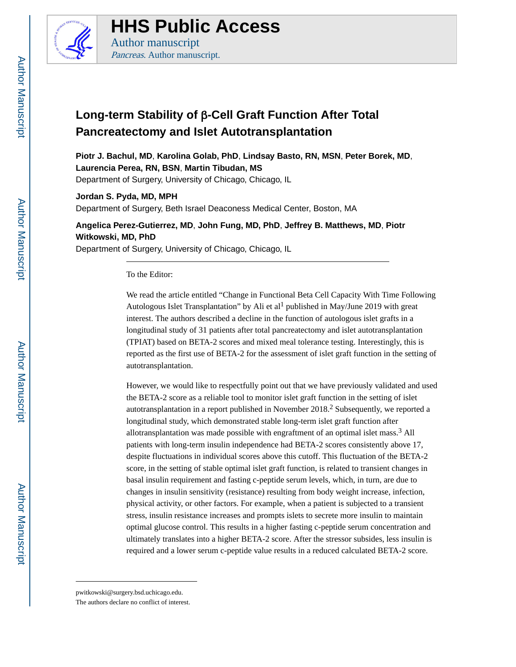

**HHS Public Access**

Author manuscript Pancreas. Author manuscript.

## **Long-term Stability of** β**-Cell Graft Function After Total Pancreatectomy and Islet Autotransplantation**

**Piotr J. Bachul, MD**, **Karolina Golab, PhD**, **Lindsay Basto, RN, MSN**, **Peter Borek, MD**, **Laurencia Perea, RN, BSN**, **Martin Tibudan, MS** Department of Surgery, University of Chicago, Chicago, IL

**Jordan S. Pyda, MD, MPH** Department of Surgery, Beth Israel Deaconess Medical Center, Boston, MA

**Angelica Perez-Gutierrez, MD**, **John Fung, MD, PhD**, **Jeffrey B. Matthews, MD**, **Piotr Witkowski, MD, PhD**

Department of Surgery, University of Chicago, Chicago, IL

To the Editor:

We read the article entitled "Change in Functional Beta Cell Capacity With Time Following Autologous Islet Transplantation" by Ali et al<sup>1</sup> published in May/June 2019 with great interest. The authors described a decline in the function of autologous islet grafts in a longitudinal study of 31 patients after total pancreatectomy and islet autotransplantation (TPIAT) based on BETA-2 scores and mixed meal tolerance testing. Interestingly, this is reported as the first use of BETA-2 for the assessment of islet graft function in the setting of autotransplantation.

However, we would like to respectfully point out that we have previously validated and used the BETA-2 score as a reliable tool to monitor islet graft function in the setting of islet autotransplantation in a report published in November  $2018<sup>2</sup>$  Subsequently, we reported a longitudinal study, which demonstrated stable long-term islet graft function after allotransplantation was made possible with engraftment of an optimal islet mass.<sup>3</sup> All patients with long-term insulin independence had BETA-2 scores consistently above 17, despite fluctuations in individual scores above this cutoff. This fluctuation of the BETA-2 score, in the setting of stable optimal islet graft function, is related to transient changes in basal insulin requirement and fasting c-peptide serum levels, which, in turn, are due to changes in insulin sensitivity (resistance) resulting from body weight increase, infection, physical activity, or other factors. For example, when a patient is subjected to a transient stress, insulin resistance increases and prompts islets to secrete more insulin to maintain optimal glucose control. This results in a higher fasting c-peptide serum concentration and ultimately translates into a higher BETA-2 score. After the stressor subsides, less insulin is required and a lower serum c-peptide value results in a reduced calculated BETA-2 score.

pwitkowski@surgery.bsd.uchicago.edu.

The authors declare no conflict of interest.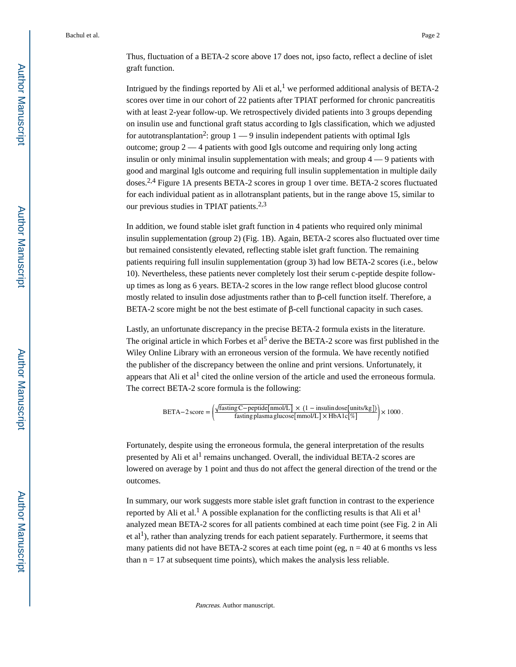Bachul et al. Page 2

Thus, fluctuation of a BETA-2 score above 17 does not, ipso facto, reflect a decline of islet graft function.

Intrigued by the findings reported by Ali et al,<sup>1</sup> we performed additional analysis of BETA-2 scores over time in our cohort of 22 patients after TPIAT performed for chronic pancreatitis with at least 2-year follow-up. We retrospectively divided patients into 3 groups depending on insulin use and functional graft status according to Igls classification, which we adjusted for autotransplantation<sup>2</sup>: group  $1 - 9$  insulin independent patients with optimal Igls outcome; group 2 — 4 patients with good Igls outcome and requiring only long acting insulin or only minimal insulin supplementation with meals; and group 4 — 9 patients with good and marginal Igls outcome and requiring full insulin supplementation in multiple daily doses.2,4 Figure 1A presents BETA-2 scores in group 1 over time. BETA-2 scores fluctuated for each individual patient as in allotransplant patients, but in the range above 15, similar to our previous studies in TPIAT patients.2,3

In addition, we found stable islet graft function in 4 patients who required only minimal insulin supplementation (group 2) (Fig. 1B). Again, BETA-2 scores also fluctuated over time but remained consistently elevated, reflecting stable islet graft function. The remaining patients requiring full insulin supplementation (group 3) had low BETA-2 scores (i.e., below 10). Nevertheless, these patients never completely lost their serum c-peptide despite followup times as long as 6 years. BETA-2 scores in the low range reflect blood glucose control mostly related to insulin dose adjustments rather than to β-cell function itself. Therefore, a BETA-2 score might be not the best estimate of  $β$ -cell functional capacity in such cases.

Lastly, an unfortunate discrepancy in the precise BETA-2 formula exists in the literature. The original article in which Forbes et al<sup>5</sup> derive the BETA-2 score was first published in the Wiley Online Library with an erroneous version of the formula. We have recently notified the publisher of the discrepancy between the online and print versions. Unfortunately, it appears that Ali et al<sup>1</sup> cited the online version of the article and used the erroneous formula. The correct BETA-2 score formula is the following:

BETA-2 score = 
$$
\left(\frac{\sqrt{\text{fasting C}-\text{peptide[mnol/L]}} \times (1-\text{insulin dose[mits/kg]})}{\text{fasting plasma glucose[mmol/L]}\times \text{HbA1c}[\%]}\right) \times 1000
$$
.

Fortunately, despite using the erroneous formula, the general interpretation of the results presented by Ali et al<sup>1</sup> remains unchanged. Overall, the individual BETA-2 scores are lowered on average by 1 point and thus do not affect the general direction of the trend or the outcomes.

In summary, our work suggests more stable islet graft function in contrast to the experience reported by Ali et al.<sup>1</sup> A possible explanation for the conflicting results is that Ali et al<sup>1</sup> analyzed mean BETA-2 scores for all patients combined at each time point (see Fig. 2 in Ali et  $al<sup>1</sup>$ ), rather than analyzing trends for each patient separately. Furthermore, it seems that many patients did not have BETA-2 scores at each time point (eg,  $n = 40$  at 6 months vs less than  $n = 17$  at subsequent time points), which makes the analysis less reliable.

Pancreas. Author manuscript.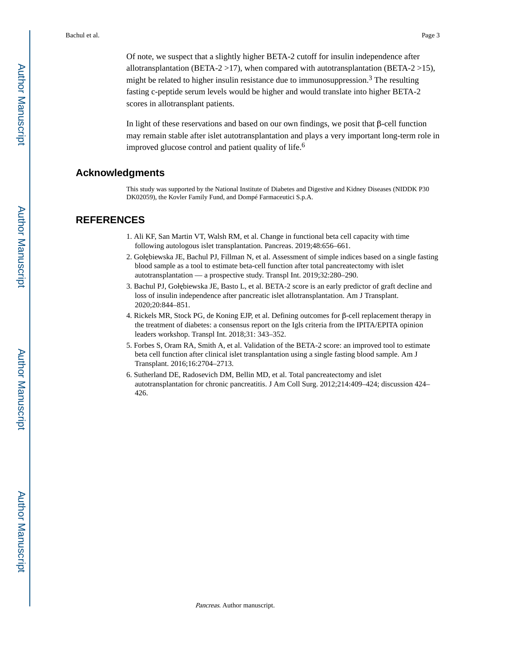Of note, we suspect that a slightly higher BETA-2 cutoff for insulin independence after allotransplantation (BETA-2  $>17$ ), when compared with autotransplantation (BETA-2  $>15$ ), might be related to higher insulin resistance due to immunosuppression.<sup>3</sup> The resulting fasting c-peptide serum levels would be higher and would translate into higher BETA-2 scores in allotransplant patients.

In light of these reservations and based on our own findings, we posit that  $\beta$ -cell function may remain stable after islet autotransplantation and plays a very important long-term role in improved glucose control and patient quality of life.<sup>6</sup>

## **Acknowledgments**

This study was supported by the National Institute of Diabetes and Digestive and Kidney Diseases (NIDDK P30 DK02059), the Kovler Family Fund, and Dompé Farmaceutici S.p.A.

## **REFERENCES**

- 1. Ali KF, San Martin VT, Walsh RM, et al. Change in functional beta cell capacity with time following autologous islet transplantation. Pancreas. 2019;48:656–661.
- 2. Goł biewska JE, Bachul PJ, Fillman N, et al. Assessment of simple indices based on a single fasting blood sample as a tool to estimate beta-cell function after total pancreatectomy with islet autotransplantation — a prospective study. Transpl Int. 2019;32:280–290.
- 3. Bachul PJ, Goł biewska JE, Basto L, et al. BETA-2 score is an early predictor of graft decline and loss of insulin independence after pancreatic islet allotransplantation. Am J Transplant. 2020;20:844–851.
- 4. Rickels MR, Stock PG, de Koning EJP, et al. Defining outcomes for β-cell replacement therapy in the treatment of diabetes: a consensus report on the Igls criteria from the IPITA/EPITA opinion leaders workshop. Transpl Int. 2018;31: 343–352.
- 5. Forbes S, Oram RA, Smith A, et al. Validation of the BETA-2 score: an improved tool to estimate beta cell function after clinical islet transplantation using a single fasting blood sample. Am J Transplant. 2016;16:2704–2713.
- 6. Sutherland DE, Radosevich DM, Bellin MD, et al. Total pancreatectomy and islet autotransplantation for chronic pancreatitis. J Am Coll Surg. 2012;214:409–424; discussion 424– 426.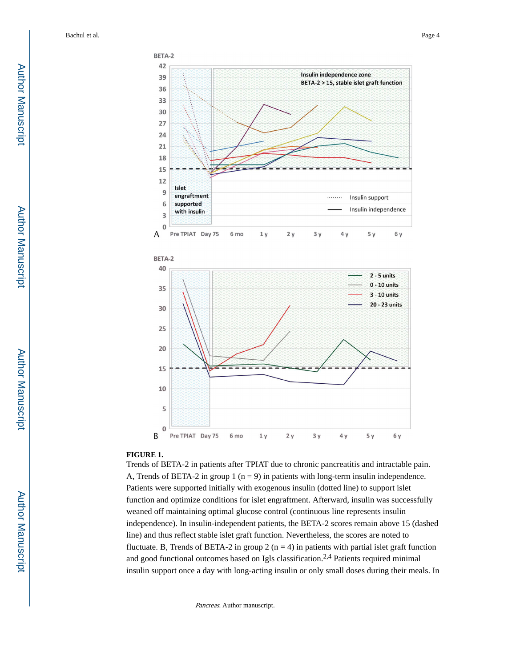Bachul et al. Page 4





## **FIGURE 1.**

Trends of BETA-2 in patients after TPIAT due to chronic pancreatitis and intractable pain. A, Trends of BETA-2 in group 1 ( $n = 9$ ) in patients with long-term insulin independence. Patients were supported initially with exogenous insulin (dotted line) to support islet function and optimize conditions for islet engraftment. Afterward, insulin was successfully weaned off maintaining optimal glucose control (continuous line represents insulin independence). In insulin-independent patients, the BETA-2 scores remain above 15 (dashed line) and thus reflect stable islet graft function. Nevertheless, the scores are noted to fluctuate. B, Trends of BETA-2 in group 2  $(n = 4)$  in patients with partial islet graft function and good functional outcomes based on Igls classification.<sup>2,4</sup> Patients required minimal insulin support once a day with long-acting insulin or only small doses during their meals. In